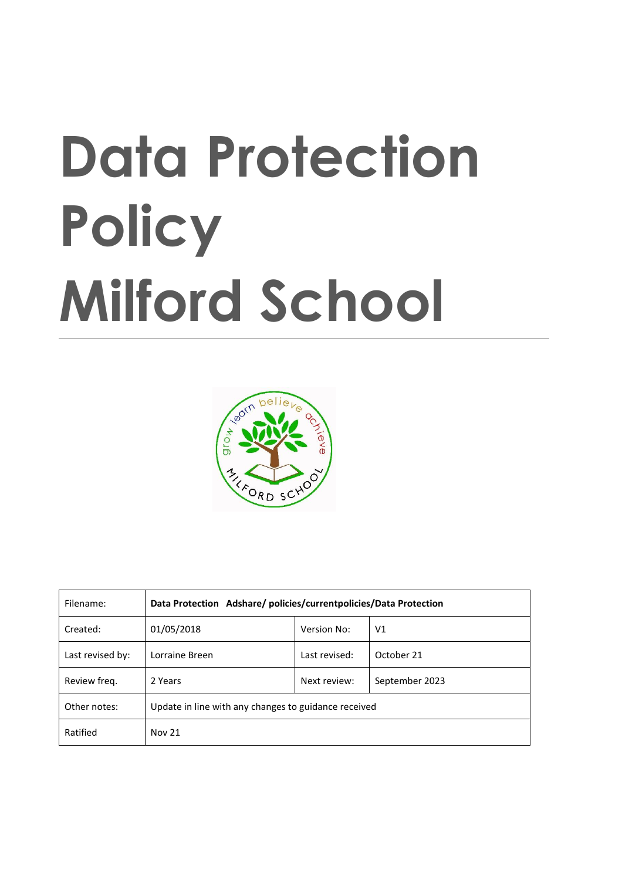# **Data Protection Policy Milford School**



| Filename:        | Data Protection Adshare/policies/currentpolicies/Data Protection |               |                |
|------------------|------------------------------------------------------------------|---------------|----------------|
| Created:         | 01/05/2018                                                       | Version No:   | V <sub>1</sub> |
| Last revised by: | Lorraine Breen                                                   | Last revised: | October 21     |
| Review freg.     | 2 Years                                                          | Next review:  | September 2023 |
| Other notes:     | Update in line with any changes to guidance received             |               |                |
| Ratified         | <b>Nov 21</b>                                                    |               |                |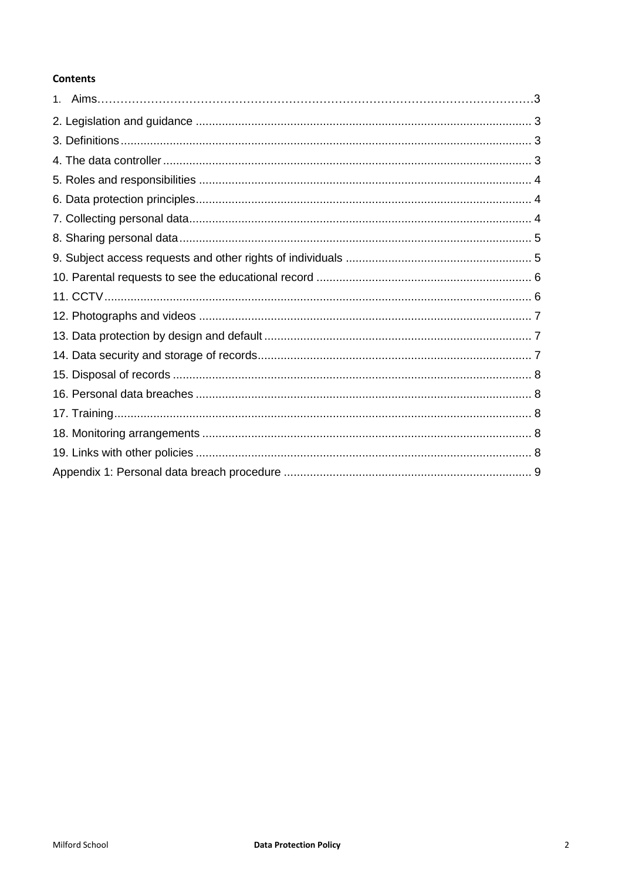# **Contents**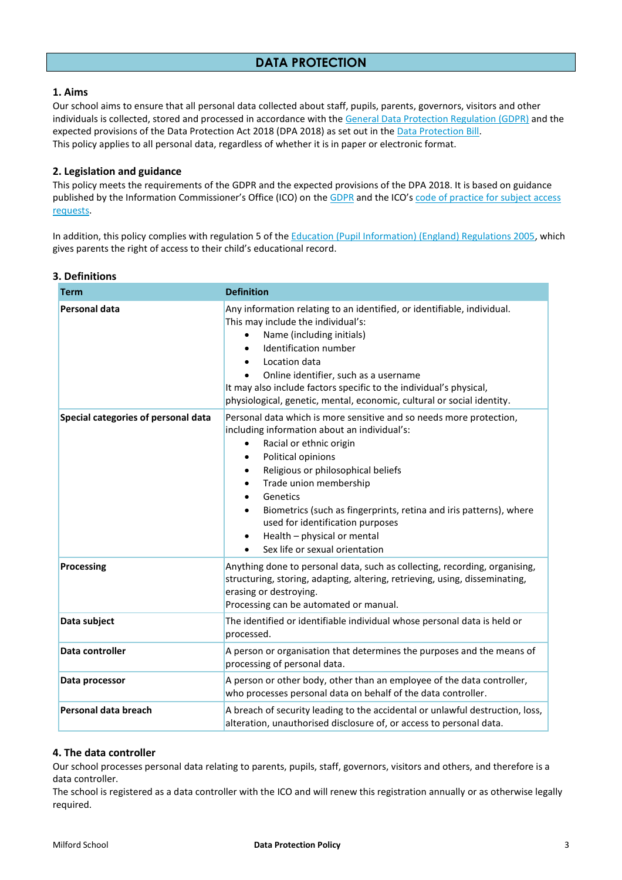## **1. Aims**

Our school aims to ensure that all personal data collected about staff, pupils, parents, governors, visitors and other individuals is collected, stored and processed in accordance with th[e General Data Protection Regulation \(GDPR\)](http://data.consilium.europa.eu/doc/document/ST-5419-2016-INIT/en/pdf) and the expected provisions of the Data Protection Act 2018 (DPA 2018) as set out in the [Data Protection Bill.](https://publications.parliament.uk/pa/bills/cbill/2017-2019/0153/18153.pdf)  This policy applies to all personal data, regardless of whether it is in paper or electronic format.

## **2. Legislation and guidance**

This policy meets the requirements of the GDPR and the expected provisions of the DPA 2018. It is based on guidance published by the Information Commissioner's Office (ICO) on th[e GDPR](https://ico.org.uk/for-organisations/guide-to-the-general-data-protection-regulation-gdpr/) and the ICO's code of practice for subject access [requests.](https://ico.org.uk/media/for-organisations/documents/2014223/subject-access-code-of-practice.pdf)

In addition, this policy complies with regulation 5 of the [Education \(Pupil Information\) \(England\) Regulations 2005,](http://www.legislation.gov.uk/uksi/2005/1437/regulation/5/made) which gives parents the right of access to their child's educational record.

#### **3. Definitions**

| <b>Term</b>                         | <b>Definition</b>                                                                                                                                                                                                                                                                                                                                                                                                                                                                                                                   |  |
|-------------------------------------|-------------------------------------------------------------------------------------------------------------------------------------------------------------------------------------------------------------------------------------------------------------------------------------------------------------------------------------------------------------------------------------------------------------------------------------------------------------------------------------------------------------------------------------|--|
| <b>Personal data</b>                | Any information relating to an identified, or identifiable, individual.<br>This may include the individual's:<br>Name (including initials)<br>$\bullet$<br>Identification number<br>$\bullet$<br>Location data<br>Online identifier, such as a username<br>It may also include factors specific to the individual's physical,<br>physiological, genetic, mental, economic, cultural or social identity.                                                                                                                             |  |
| Special categories of personal data | Personal data which is more sensitive and so needs more protection,<br>including information about an individual's:<br>Racial or ethnic origin<br>$\bullet$<br>Political opinions<br>$\bullet$<br>Religious or philosophical beliefs<br>$\bullet$<br>Trade union membership<br>$\bullet$<br>Genetics<br>$\bullet$<br>Biometrics (such as fingerprints, retina and iris patterns), where<br>$\bullet$<br>used for identification purposes<br>Health - physical or mental<br>$\bullet$<br>Sex life or sexual orientation<br>$\bullet$ |  |
| <b>Processing</b>                   | Anything done to personal data, such as collecting, recording, organising,<br>structuring, storing, adapting, altering, retrieving, using, disseminating,<br>erasing or destroying.<br>Processing can be automated or manual.                                                                                                                                                                                                                                                                                                       |  |
| Data subject                        | The identified or identifiable individual whose personal data is held or<br>processed.                                                                                                                                                                                                                                                                                                                                                                                                                                              |  |
| Data controller                     | A person or organisation that determines the purposes and the means of<br>processing of personal data.                                                                                                                                                                                                                                                                                                                                                                                                                              |  |
| Data processor                      | A person or other body, other than an employee of the data controller,<br>who processes personal data on behalf of the data controller.                                                                                                                                                                                                                                                                                                                                                                                             |  |
| Personal data breach                | A breach of security leading to the accidental or unlawful destruction, loss,<br>alteration, unauthorised disclosure of, or access to personal data.                                                                                                                                                                                                                                                                                                                                                                                |  |

#### **4. The data controller**

Our school processes personal data relating to parents, pupils, staff, governors, visitors and others, and therefore is a data controller.

The school is registered as a data controller with the ICO and will renew this registration annually or as otherwise legally required.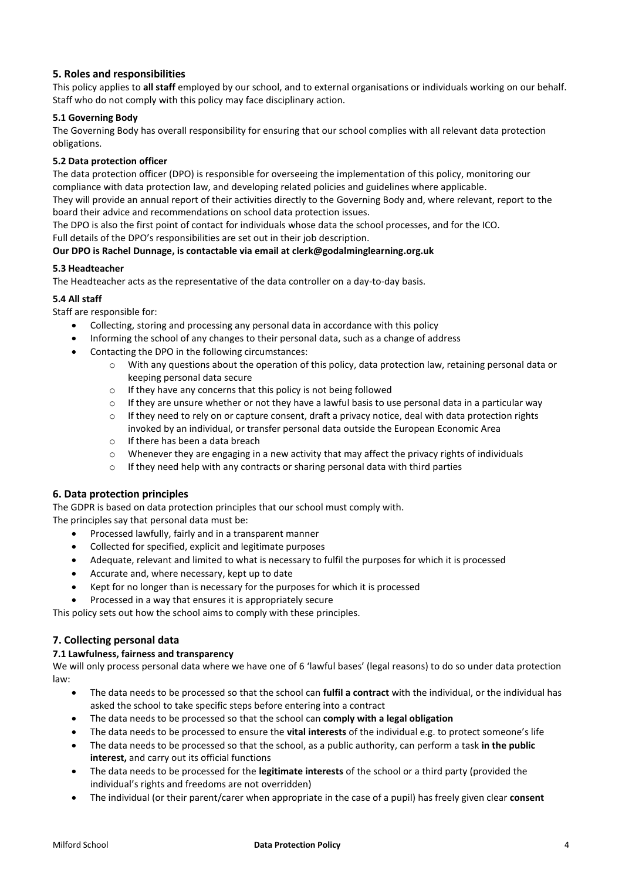# **5. Roles and responsibilities**

This policy applies to **all staff** employed by our school, and to external organisations or individuals working on our behalf. Staff who do not comply with this policy may face disciplinary action.

## **5.1 Governing Body**

The Governing Body has overall responsibility for ensuring that our school complies with all relevant data protection obligations.

## **5.2 Data protection officer**

The data protection officer (DPO) is responsible for overseeing the implementation of this policy, monitoring our compliance with data protection law, and developing related policies and guidelines where applicable.

They will provide an annual report of their activities directly to the Governing Body and, where relevant, report to the board their advice and recommendations on school data protection issues.

The DPO is also the first point of contact for individuals whose data the school processes, and for the ICO.

Full details of the DPO's responsibilities are set out in their job description.

## **Our DPO is Rachel Dunnage, is contactable via email at clerk@godalminglearning.org.uk**

#### **5.3 Headteacher**

The Headteacher acts as the representative of the data controller on a day-to-day basis.

## **5.4 All staff**

Staff are responsible for:

- Collecting, storing and processing any personal data in accordance with this policy
- Informing the school of any changes to their personal data, such as a change of address
- Contacting the DPO in the following circumstances:
	- o With any questions about the operation of this policy, data protection law, retaining personal data or keeping personal data secure
	- o If they have any concerns that this policy is not being followed
	- $\circ$  If they are unsure whether or not they have a lawful basis to use personal data in a particular way
	- $\circ$  If they need to rely on or capture consent, draft a privacy notice, deal with data protection rights invoked by an individual, or transfer personal data outside the European Economic Area
	- o If there has been a data breach
	- $\circ$  Whenever they are engaging in a new activity that may affect the privacy rights of individuals
	- $\circ$  If they need help with any contracts or sharing personal data with third parties

# **6. Data protection principles**

The GDPR is based on data protection principles that our school must comply with.

The principles say that personal data must be:

- Processed lawfully, fairly and in a transparent manner
- Collected for specified, explicit and legitimate purposes
- Adequate, relevant and limited to what is necessary to fulfil the purposes for which it is processed
- Accurate and, where necessary, kept up to date
- Kept for no longer than is necessary for the purposes for which it is processed
- Processed in a way that ensures it is appropriately secure

This policy sets out how the school aims to comply with these principles.

# **7. Collecting personal data**

#### **7.1 Lawfulness, fairness and transparency**

We will only process personal data where we have one of 6 'lawful bases' (legal reasons) to do so under data protection law:

- The data needs to be processed so that the school can **fulfil a contract** with the individual, or the individual has asked the school to take specific steps before entering into a contract
- The data needs to be processed so that the school can **comply with a legal obligation**
- The data needs to be processed to ensure the **vital interests** of the individual e.g. to protect someone's life
- The data needs to be processed so that the school, as a public authority, can perform a task **in the public interest,** and carry out its official functions
- The data needs to be processed for the **legitimate interests** of the school or a third party (provided the individual's rights and freedoms are not overridden)
- The individual (or their parent/carer when appropriate in the case of a pupil) has freely given clear **consent**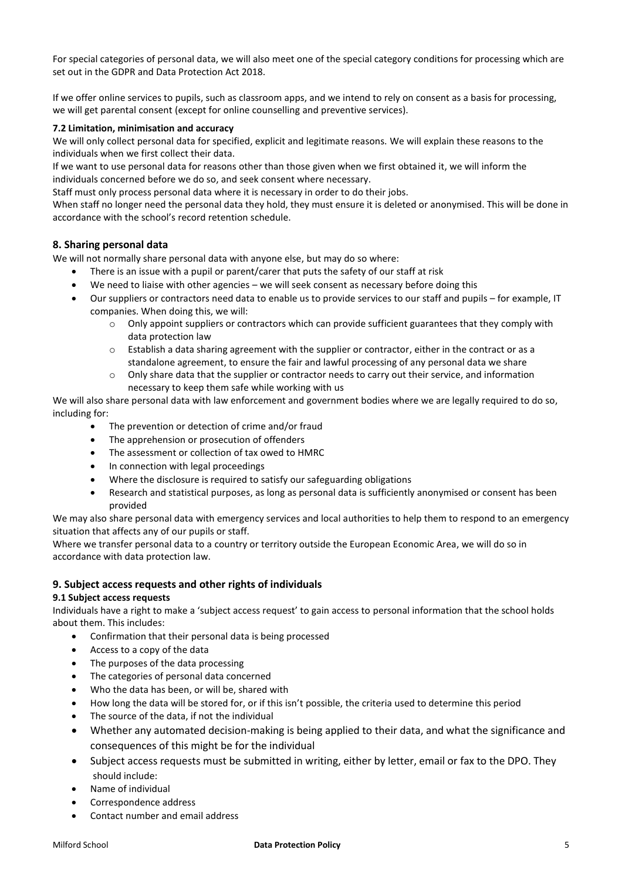For special categories of personal data, we will also meet one of the special category conditions for processing which are set out in the GDPR and Data Protection Act 2018.

If we offer online services to pupils, such as classroom apps, and we intend to rely on consent as a basis for processing, we will get parental consent (except for online counselling and preventive services).

#### **7.2 Limitation, minimisation and accuracy**

We will only collect personal data for specified, explicit and legitimate reasons. We will explain these reasons to the individuals when we first collect their data.

If we want to use personal data for reasons other than those given when we first obtained it, we will inform the individuals concerned before we do so, and seek consent where necessary.

Staff must only process personal data where it is necessary in order to do their jobs.

When staff no longer need the personal data they hold, they must ensure it is deleted or anonymised. This will be done in accordance with the school's record retention schedule.

## **8. Sharing personal data**

We will not normally share personal data with anyone else, but may do so where:

- There is an issue with a pupil or parent/carer that puts the safety of our staff at risk
- We need to liaise with other agencies we will seek consent as necessary before doing this
- Our suppliers or contractors need data to enable us to provide services to our staff and pupils for example, IT companies. When doing this, we will:
	- o Only appoint suppliers or contractors which can provide sufficient guarantees that they comply with data protection law
	- $\circ$  Establish a data sharing agreement with the supplier or contractor, either in the contract or as a standalone agreement, to ensure the fair and lawful processing of any personal data we share
	- $\circ$  Only share data that the supplier or contractor needs to carry out their service, and information necessary to keep them safe while working with us

We will also share personal data with law enforcement and government bodies where we are legally required to do so, including for:

- The prevention or detection of crime and/or fraud
- The apprehension or prosecution of offenders
- The assessment or collection of tax owed to HMRC
- In connection with legal proceedings
- Where the disclosure is required to satisfy our safeguarding obligations
- Research and statistical purposes, as long as personal data is sufficiently anonymised or consent has been provided

We may also share personal data with emergency services and local authorities to help them to respond to an emergency situation that affects any of our pupils or staff.

Where we transfer personal data to a country or territory outside the European Economic Area, we will do so in accordance with data protection law.

#### **9. Subject access requests and other rights of individuals**

#### **9.1 Subject access requests**

Individuals have a right to make a 'subject access request' to gain access to personal information that the school holds about them. This includes:

- Confirmation that their personal data is being processed
- Access to a copy of the data
- The purposes of the data processing
- The categories of personal data concerned
- Who the data has been, or will be, shared with
- How long the data will be stored for, or if this isn't possible, the criteria used to determine this period
- The source of the data, if not the individual
- Whether any automated decision-making is being applied to their data, and what the significance and consequences of this might be for the individual
- Subject access requests must be submitted in writing, either by letter, email or fax to the DPO. They should include:
- Name of individual
- Correspondence address
- Contact number and email address

#### Milford School **Data Protection Policy** 5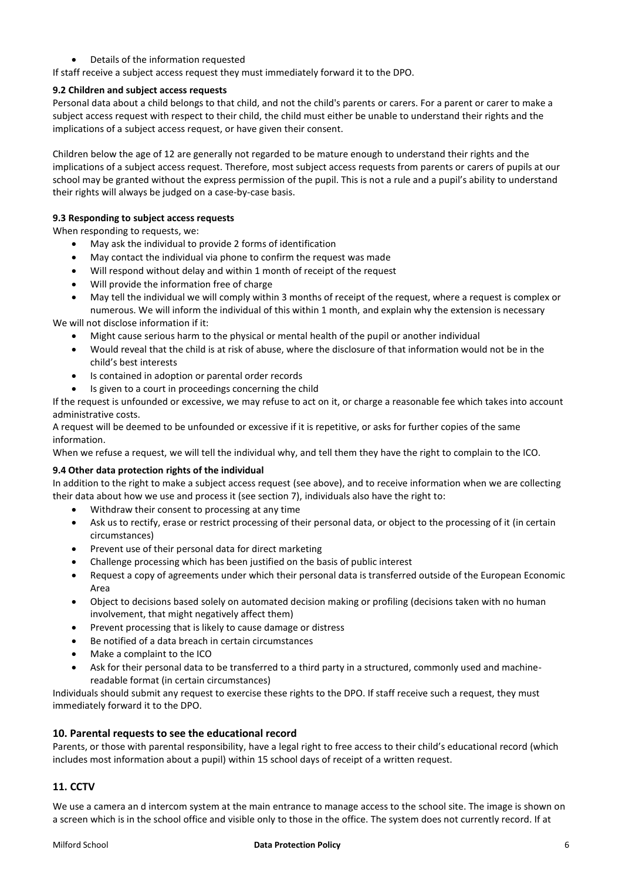Details of the information requested

If staff receive a subject access request they must immediately forward it to the DPO.

#### **9.2 Children and subject access requests**

Personal data about a child belongs to that child, and not the child's parents or carers. For a parent or carer to make a subject access request with respect to their child, the child must either be unable to understand their rights and the implications of a subject access request, or have given their consent.

Children below the age of 12 are generally not regarded to be mature enough to understand their rights and the implications of a subject access request. Therefore, most subject access requests from parents or carers of pupils at our school may be granted without the express permission of the pupil. This is not a rule and a pupil's ability to understand their rights will always be judged on a case-by-case basis.

#### **9.3 Responding to subject access requests**

When responding to requests, we:

- May ask the individual to provide 2 forms of identification
- May contact the individual via phone to confirm the request was made
- Will respond without delay and within 1 month of receipt of the request
- Will provide the information free of charge
- May tell the individual we will comply within 3 months of receipt of the request, where a request is complex or numerous. We will inform the individual of this within 1 month, and explain why the extension is necessary

We will not disclose information if it:

- Might cause serious harm to the physical or mental health of the pupil or another individual
- Would reveal that the child is at risk of abuse, where the disclosure of that information would not be in the child's best interests
- Is contained in adoption or parental order records
- Is given to a court in proceedings concerning the child

If the request is unfounded or excessive, we may refuse to act on it, or charge a reasonable fee which takes into account administrative costs.

A request will be deemed to be unfounded or excessive if it is repetitive, or asks for further copies of the same information.

When we refuse a request, we will tell the individual why, and tell them they have the right to complain to the ICO.

#### **9.4 Other data protection rights of the individual**

In addition to the right to make a subject access request (see above), and to receive information when we are collecting their data about how we use and process it (see section 7), individuals also have the right to:

- Withdraw their consent to processing at any time
- Ask us to rectify, erase or restrict processing of their personal data, or object to the processing of it (in certain circumstances)
- Prevent use of their personal data for direct marketing
- Challenge processing which has been justified on the basis of public interest
- Request a copy of agreements under which their personal data is transferred outside of the European Economic Area
- Object to decisions based solely on automated decision making or profiling (decisions taken with no human involvement, that might negatively affect them)
- Prevent processing that is likely to cause damage or distress
- Be notified of a data breach in certain circumstances
- Make a complaint to the ICO
- Ask for their personal data to be transferred to a third party in a structured, commonly used and machinereadable format (in certain circumstances)

Individuals should submit any request to exercise these rights to the DPO. If staff receive such a request, they must immediately forward it to the DPO.

#### **10. Parental requests to see the educational record**

Parents, or those with parental responsibility, have a legal right to free access to their child's educational record (which includes most information about a pupil) within 15 school days of receipt of a written request.

# **11. CCTV**

We use a camera an d intercom system at the main entrance to manage access to the school site. The image is shown on a screen which is in the school office and visible only to those in the office. The system does not currently record. If at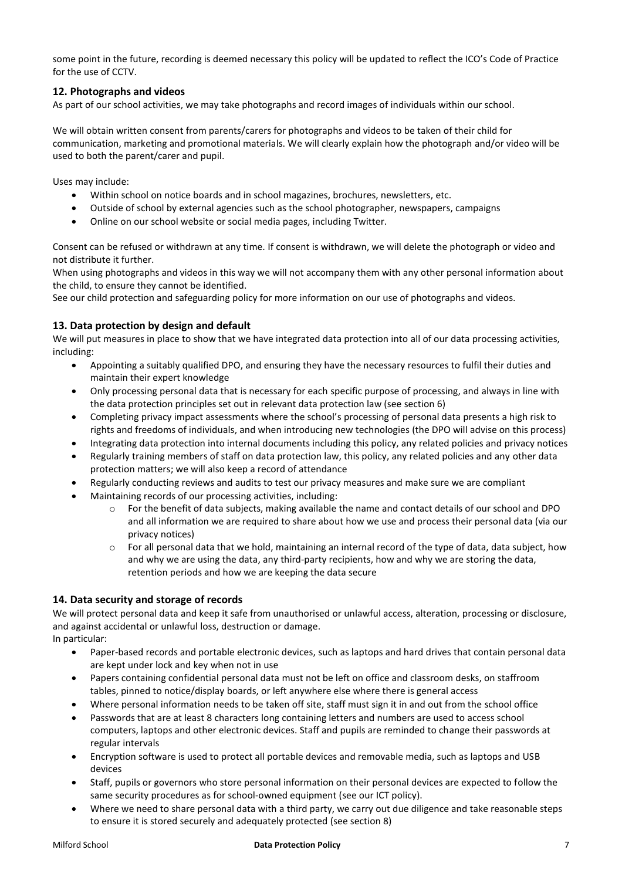some point in the future, recording is deemed necessary this policy will be updated to reflect the ICO's Code of Practice for the use of CCTV.

# **12. Photographs and videos**

As part of our school activities, we may take photographs and record images of individuals within our school.

We will obtain written consent from parents/carers for photographs and videos to be taken of their child for communication, marketing and promotional materials. We will clearly explain how the photograph and/or video will be used to both the parent/carer and pupil.

Uses may include:

- Within school on notice boards and in school magazines, brochures, newsletters, etc.
- Outside of school by external agencies such as the school photographer, newspapers, campaigns
- Online on our school website or social media pages, including Twitter.

Consent can be refused or withdrawn at any time. If consent is withdrawn, we will delete the photograph or video and not distribute it further.

When using photographs and videos in this way we will not accompany them with any other personal information about the child, to ensure they cannot be identified.

See our child protection and safeguarding policy for more information on our use of photographs and videos.

# **13. Data protection by design and default**

We will put measures in place to show that we have integrated data protection into all of our data processing activities, including:

- Appointing a suitably qualified DPO, and ensuring they have the necessary resources to fulfil their duties and maintain their expert knowledge
- Only processing personal data that is necessary for each specific purpose of processing, and always in line with the data protection principles set out in relevant data protection law (see section 6)
- Completing privacy impact assessments where the school's processing of personal data presents a high risk to rights and freedoms of individuals, and when introducing new technologies (the DPO will advise on this process)
- Integrating data protection into internal documents including this policy, any related policies and privacy notices
- Regularly training members of staff on data protection law, this policy, any related policies and any other data protection matters; we will also keep a record of attendance
- Regularly conducting reviews and audits to test our privacy measures and make sure we are compliant
- Maintaining records of our processing activities, including:
	- o For the benefit of data subjects, making available the name and contact details of our school and DPO and all information we are required to share about how we use and process their personal data (via our privacy notices)
	- $\circ$  For all personal data that we hold, maintaining an internal record of the type of data, data subject, how and why we are using the data, any third-party recipients, how and why we are storing the data, retention periods and how we are keeping the data secure

# **14. Data security and storage of records**

We will protect personal data and keep it safe from unauthorised or unlawful access, alteration, processing or disclosure, and against accidental or unlawful loss, destruction or damage.

In particular:

- Paper-based records and portable electronic devices, such as laptops and hard drives that contain personal data are kept under lock and key when not in use
- Papers containing confidential personal data must not be left on office and classroom desks, on staffroom tables, pinned to notice/display boards, or left anywhere else where there is general access
- Where personal information needs to be taken off site, staff must sign it in and out from the school office
- Passwords that are at least 8 characters long containing letters and numbers are used to access school computers, laptops and other electronic devices. Staff and pupils are reminded to change their passwords at regular intervals
- Encryption software is used to protect all portable devices and removable media, such as laptops and USB devices
- Staff, pupils or governors who store personal information on their personal devices are expected to follow the same security procedures as for school-owned equipment (see our ICT policy).
- Where we need to share personal data with a third party, we carry out due diligence and take reasonable steps to ensure it is stored securely and adequately protected (see section 8)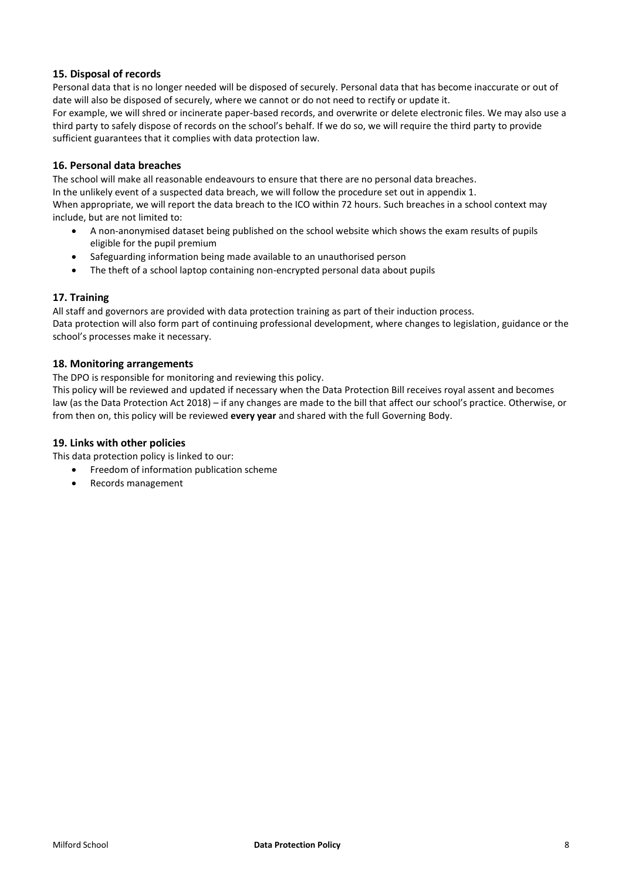# **15. Disposal of records**

Personal data that is no longer needed will be disposed of securely. Personal data that has become inaccurate or out of date will also be disposed of securely, where we cannot or do not need to rectify or update it. For example, we will shred or incinerate paper-based records, and overwrite or delete electronic files. We may also use a third party to safely dispose of records on the school's behalf. If we do so, we will require the third party to provide sufficient guarantees that it complies with data protection law.

## **16. Personal data breaches**

The school will make all reasonable endeavours to ensure that there are no personal data breaches.

In the unlikely event of a suspected data breach, we will follow the procedure set out in appendix 1.

When appropriate, we will report the data breach to the ICO within 72 hours. Such breaches in a school context may include, but are not limited to:

- A non-anonymised dataset being published on the school website which shows the exam results of pupils eligible for the pupil premium
- Safeguarding information being made available to an unauthorised person
- The theft of a school laptop containing non-encrypted personal data about pupils

## **17. Training**

All staff and governors are provided with data protection training as part of their induction process. Data protection will also form part of continuing professional development, where changes to legislation, guidance or the school's processes make it necessary.

## **18. Monitoring arrangements**

The DPO is responsible for monitoring and reviewing this policy.

This policy will be reviewed and updated if necessary when the Data Protection Bill receives royal assent and becomes law (as the Data Protection Act 2018) – if any changes are made to the bill that affect our school's practice. Otherwise, or from then on, this policy will be reviewed **every year** and shared with the full Governing Body.

#### **19. Links with other policies**

This data protection policy is linked to our:

- **•** Freedom of information publication scheme
- Records management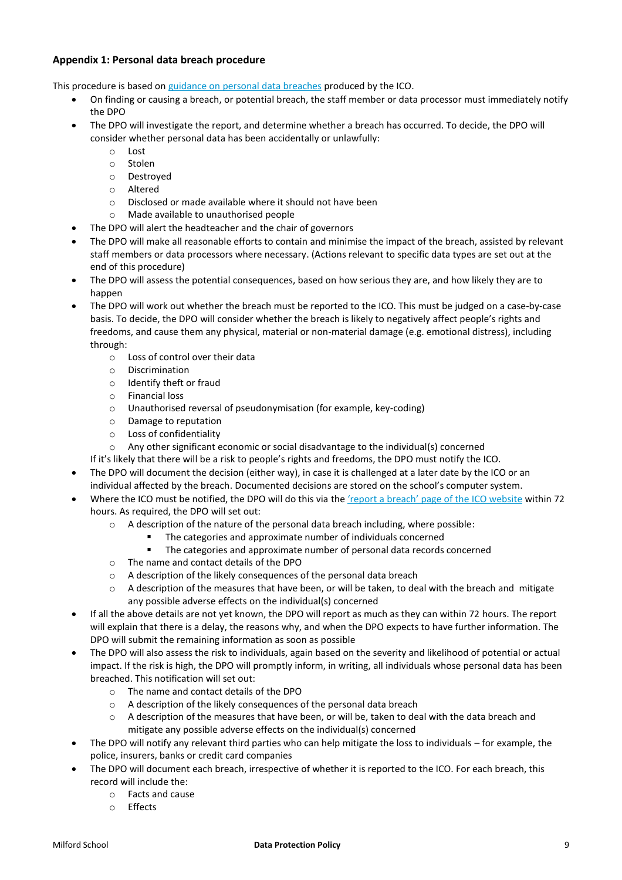# **Appendix 1: Personal data breach procedure**

This procedure is based on [guidance on personal data breaches](https://ico.org.uk/for-organisations/guide-to-the-general-data-protection-regulation-gdpr/personal-data-breaches/) produced by the ICO.

- On finding or causing a breach, or potential breach, the staff member or data processor must immediately notify the DPO
- The DPO will investigate the report, and determine whether a breach has occurred. To decide, the DPO will consider whether personal data has been accidentally or unlawfully:
	- o Lost
	- o Stolen
	- o Destroyed
	- o Altered
	- o Disclosed or made available where it should not have been
	- o Made available to unauthorised people
- The DPO will alert the headteacher and the chair of governors
- The DPO will make all reasonable efforts to contain and minimise the impact of the breach, assisted by relevant staff members or data processors where necessary. (Actions relevant to specific data types are set out at the end of this procedure)
- The DPO will assess the potential consequences, based on how serious they are, and how likely they are to happen
- The DPO will work out whether the breach must be reported to the ICO. This must be judged on a case-by-case basis. To decide, the DPO will consider whether the breach is likely to negatively affect people's rights and freedoms, and cause them any physical, material or non-material damage (e.g. emotional distress), including through:
	- o Loss of control over their data
	- o Discrimination
	- o Identify theft or fraud
	- o Financial loss
	- o Unauthorised reversal of pseudonymisation (for example, key-coding)
	- o Damage to reputation
	- o Loss of confidentiality
	- $\circ$  Any other significant economic or social disadvantage to the individual(s) concerned
	- If it's likely that there will be a risk to people's rights and freedoms, the DPO must notify the ICO.
- The DPO will document the decision (either way), in case it is challenged at a later date by the ICO or an individual affected by the breach. Documented decisions are stored on the school's computer system.
- Where the ICO must be notified, the DPO will do this via the ['report a breach' page of the](https://ico.org.uk/for-organisations/report-a-breach/) ICO website within 72 hours. As required, the DPO will set out:
	- $\circ$  A description of the nature of the personal data breach including, where possible:
		- The categories and approximate number of individuals concerned
		- The categories and approximate number of personal data records concerned
	- o The name and contact details of the DPO
	- o A description of the likely consequences of the personal data breach
	- $\circ$  A description of the measures that have been, or will be taken, to deal with the breach and mitigate any possible adverse effects on the individual(s) concerned
- If all the above details are not yet known, the DPO will report as much as they can within 72 hours. The report will explain that there is a delay, the reasons why, and when the DPO expects to have further information. The DPO will submit the remaining information as soon as possible
- The DPO will also assess the risk to individuals, again based on the severity and likelihood of potential or actual impact. If the risk is high, the DPO will promptly inform, in writing, all individuals whose personal data has been breached. This notification will set out:
	- o The name and contact details of the DPO
	- o A description of the likely consequences of the personal data breach
	- $\circ$  A description of the measures that have been, or will be, taken to deal with the data breach and mitigate any possible adverse effects on the individual(s) concerned
- The DPO will notify any relevant third parties who can help mitigate the loss to individuals for example, the police, insurers, banks or credit card companies
- The DPO will document each breach, irrespective of whether it is reported to the ICO. For each breach, this record will include the:
	- o Facts and cause
	- o Effects